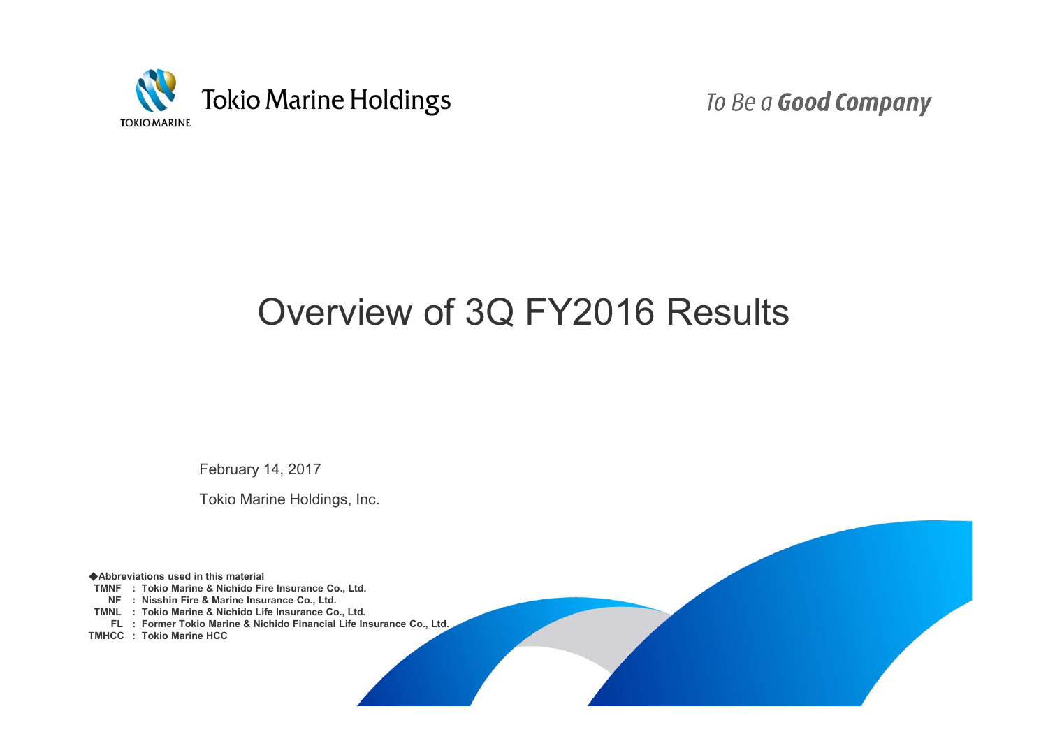

To Be a Good Company

# Overview of 3Q FY2016 Results

February 14, 2017

Tokio Marine Holdings, Inc.

◆**Abbreviations used in this material**

**TMNF : Tokio Marine & Nichido Fire Insurance Co., Ltd.**

**NF : Nisshin Fire & Marine Insurance Co., Ltd.**

**TMNL : Tokio Marine & Nichido Life Insurance Co., Ltd.**

**FL : Former Tokio Marine & Nichido Financial Life Insurance Co., Ltd.** 

**TMHCC : Tokio Marine HCC**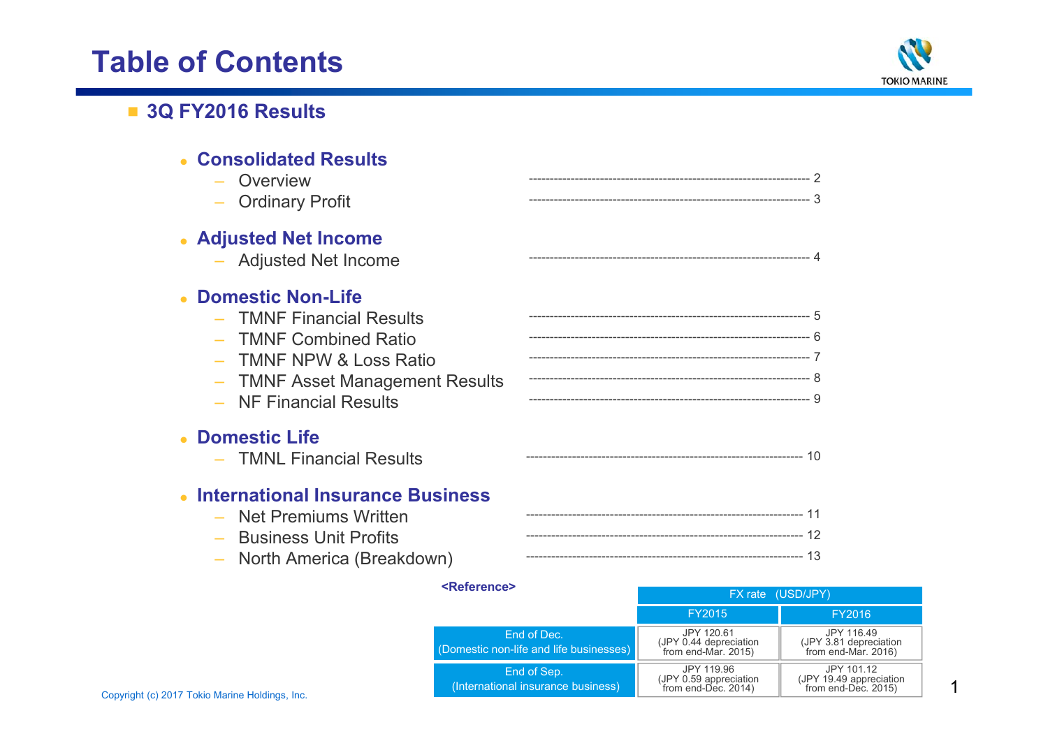# **Table of Contents**



## ■ **3Q FY2016 Results**

| <b>Consolidated Results</b><br>- Overview<br>- Ordinary Profit                                                                                                                           |  |
|------------------------------------------------------------------------------------------------------------------------------------------------------------------------------------------|--|
| • Adjusted Net Income<br>- Adjusted Net Income                                                                                                                                           |  |
| <b>Domestic Non-Life</b><br>- TMNF Financial Results<br><b>TMNF Combined Ratio</b><br><b>TMNF NPW &amp; Loss Ratio</b><br><b>TMNF Asset Management Results</b><br>- NF Financial Results |  |
| • Domestic Life<br>- TMNL Financial Results                                                                                                                                              |  |
| <b>International Insurance Business</b><br>- Net Premiums Written<br>- Business Unit Profits<br>- North America (Breakdown)                                                              |  |

|                                                | <reference></reference>                                | FX rate (USD/JPY)                                           |                                                              |
|------------------------------------------------|--------------------------------------------------------|-------------------------------------------------------------|--------------------------------------------------------------|
|                                                |                                                        | FY2015                                                      | FY2016                                                       |
|                                                | End of Dec.<br>(Domestic non-life and life businesses) | JPY 120.61<br>(JPY 0.44 depreciation<br>from end-Mar. 2015) | JPY 116.49<br>(JPY 3.81 depreciation<br>from end-Mar. 2016)  |
| Copyright (c) 2017 Tokio Marine Holdings, Inc. | End of Sep.<br>(International insurance business)      | JPY 119.96<br>(JPY 0.59 appreciation<br>from end-Dec. 2014) | JPY 101.12<br>(JPY 19.49 appreciation<br>from end-Dec. 2015) |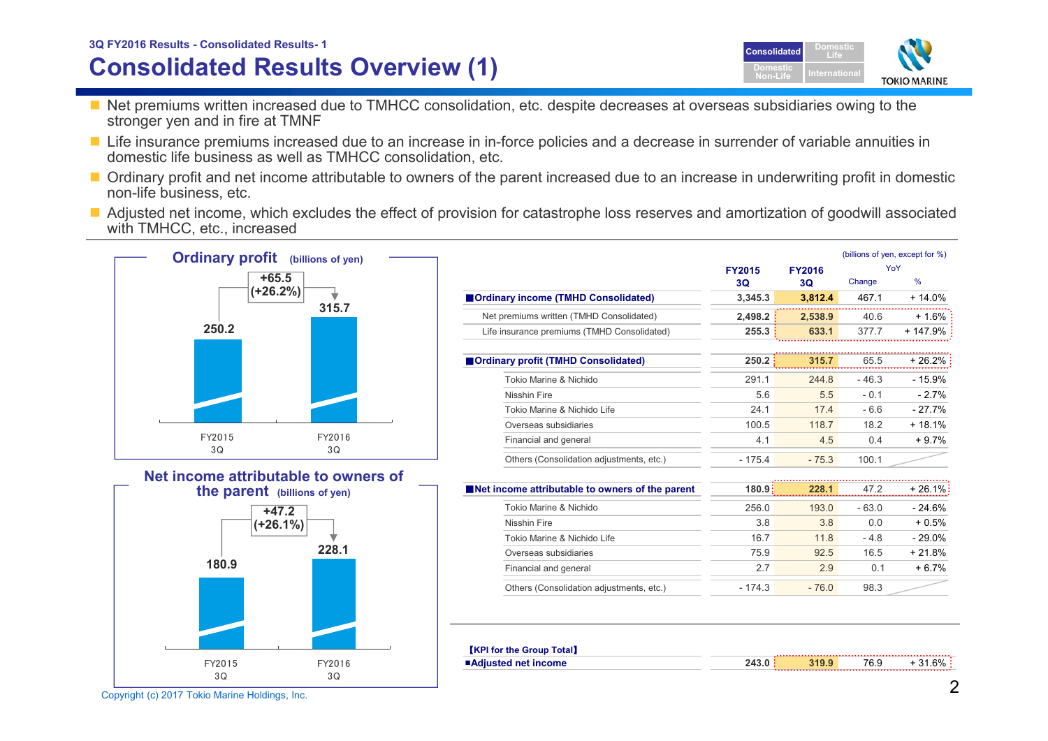# Copyright (c) 2017 Tokio Marine Holdings, Inc. 2008 2018 2019 12:00 12:00 2018 2019 12:00 2017 Tokio Marine Holdings, Inc.

FY20153Q

## **Consolidated Results Overview (1) 3Q FY2016 Results - Consolidated Results- <sup>1</sup> Consolidated**

- Net premiums written increased due to TMHCC consolidation, etc. despite decreases at overseas subsidiaries owing to the stronger ven and in fire at TMNF
- Life insurance premiums increased due to an increase in in-force policies and a decrease in surrender of variable annuities in domestic life business as well as TMHCC consolidation, etc.
- Ordinary profit and net income attributable to owners of the parent increased due to an increase in underwriting profit in domestic non-life business, etc.
- Adjusted net income, which excludes the effect of provision for catastrophe loss reserves and amortization of goodwill associated with TMHCC, etc., increased



FY20163Q

|                                                 |               |               | (billions of yen, except for %) |           |  |
|-------------------------------------------------|---------------|---------------|---------------------------------|-----------|--|
|                                                 | <b>FY2015</b> | <b>FY2016</b> |                                 | YoY       |  |
|                                                 | 3Q            | 3Q            | Change                          | %         |  |
| <b>Ordinary income (TMHD Consolidated)</b>      | 3,345.3       | 3,812.4       | 467.1                           | + 14.0%   |  |
| Net premiums written (TMHD Consolidated)        | 2.498.2       | 2,538.9       | 40.6                            | $+1.6%$   |  |
| Life insurance premiums (TMHD Consolidated)     | 255.3         | 633.1         | 377.7                           | $+147.9%$ |  |
|                                                 |               |               |                                 |           |  |
| <b>Ordinary profit (TMHD Consolidated)</b>      | 250.2         | 315.7         | 65.5                            | + 26.2%   |  |
| Tokio Marine & Nichido                          | 291.1         | 244.8         | $-46.3$                         | $-15.9%$  |  |
| <b>Nisshin Fire</b>                             | 5.6           | 5.5           | $-0.1$                          | $-2.7%$   |  |
| Tokio Marine & Nichido Life                     | 24.1          | 17.4          | $-6.6$                          | $-27.7%$  |  |
| Overseas subsidiaries                           | 100.5         | 118.7         | 18.2                            | $+18.1%$  |  |
| Financial and general                           | 4.1           | 4.5           | 0.4                             | $+9.7%$   |  |
| Others (Consolidation adjustments, etc.)        | $-175.4$      | $-75.3$       | 100.1                           |           |  |
|                                                 |               |               |                                 |           |  |
| Net income attributable to owners of the parent | 180.9:        | 228.1         | 47.2                            | + 26.1%   |  |
| Tokio Marine & Nichido                          | 256.0         | 193.0         | $-63.0$                         | $-24.6%$  |  |
| Nisshin Fire                                    | 3.8           | 3.8           | 0.0                             | $+0.5%$   |  |
| Tokio Marine & Nichido Life                     | 16.7          | 11.8          | $-4.8$                          | $-29.0%$  |  |
| Overseas subsidiaries                           | 75.9          | 92.5          | 16.5                            | $+21.8%$  |  |
| Financial and general                           | 2.7           | 2.9           | 0.1                             | $+6.7%$   |  |
| Others (Consolidation adjustments, etc.)        | $-174.3$      | $-76.0$       | 98.3                            |           |  |

| <b>KPI for the Group Total</b> |     |       |      |         |
|--------------------------------|-----|-------|------|---------|
| ■Adiusted net income           | 243 | 319.9 | 76.9 | + 31.6% |

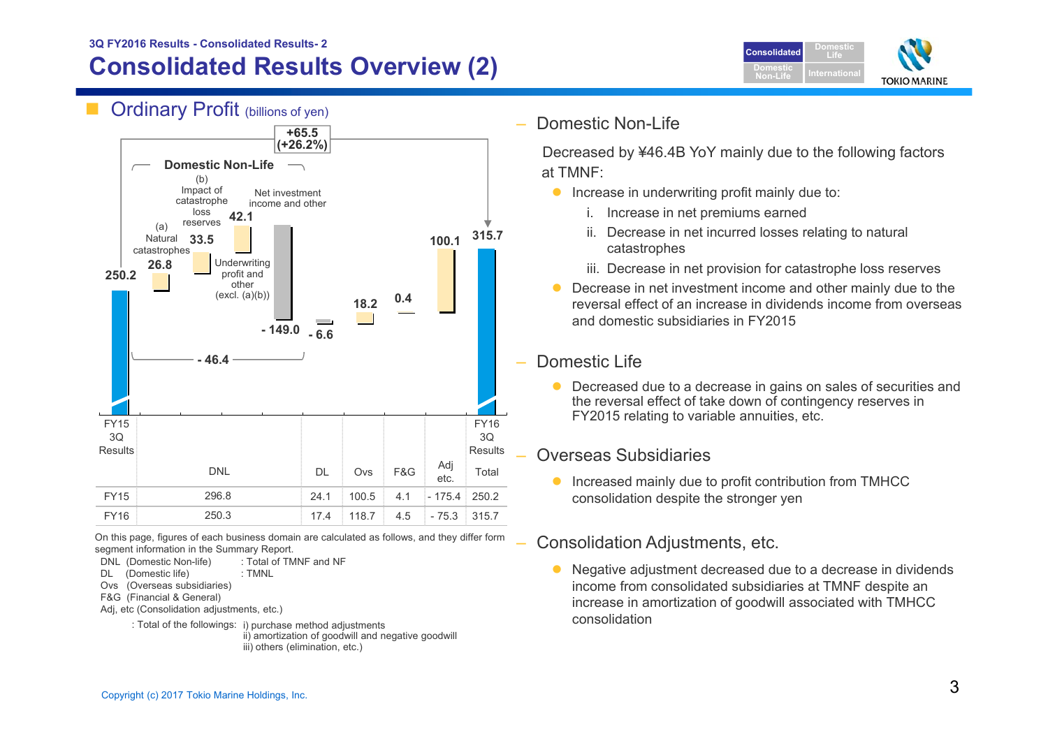## **Consolidated Results Overview (2) 3Q FY2016 Results - Consolidated Results- 2**







On this page, figures of each business domain are calculated as follows, and they differ form segment information in the Summary Report.

DNL (Domestic Non-life) : Total of TMNF and NF

- DL (Domestic life) : TMNL
- Ovs (Overseas subsidiaries)
- F&G (Financial & General)
- Adj, etc (Consolidation adjustments, etc.)
	- : Total of the followings: i) purchase method adjustments ii) amortization of goodwill and negative goodwill iii) others (elimination, etc.)

Domestic Non-Life

Decreased by ¥46.4B YoY mainly due to the following factors at TMNF:

- **•** Increase in underwriting profit mainly due to:
	- i. Increase in net premiums earned
	- ii. Decrease in net incurred losses relating to natural catastrophes
	- iii. Decrease in net provision for catastrophe loss reserves
- $\bullet$  Decrease in net investment income and other mainly due to the reversal effect of an increase in dividends income from overseas and domestic subsidiaries in FY2015

### Domestic Life

 $\bullet$  Decreased due to a decrease in gains on sales of securities and the reversal effect of take down of contingency reserves in FY2015 relating to variable annuities, etc.

## Overseas Subsidiaries

 $\bullet$  Increased mainly due to profit contribution from TMHCC consolidation despite the stronger yen

## Consolidation Adjustments, etc.

 $\bullet$  Negative adjustment decreased due to a decrease in dividends income from consolidated subsidiaries at TMNF despite an increase in amortization of goodwill associated with TMHCC consolidation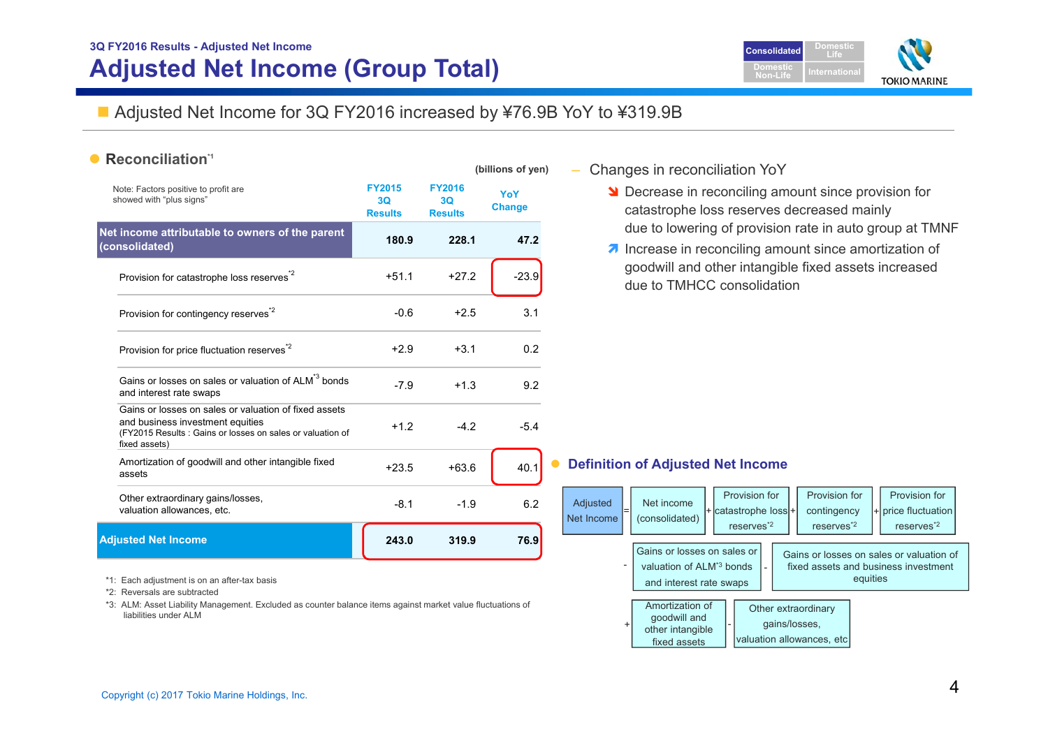## **3Q FY2016 Results - Adjusted Net Income Adjusted Net Income (Group Total)**



## ■ Adjusted Net Income for 3Q FY2016 increased by ¥76.9B YoY to ¥319.9B

**(billions of yen)** 

#### •**Reconciliation\*1**

|                                                                                                                                                                         |                                                   |                                       | ווט צווטווויוואן     |
|-------------------------------------------------------------------------------------------------------------------------------------------------------------------------|---------------------------------------------------|---------------------------------------|----------------------|
| Note: Factors positive to profit are<br>showed with "plus signs"                                                                                                        | <b>FY2015</b><br>3 <sub>O</sub><br><b>Results</b> | <b>FY2016</b><br>30<br><b>Results</b> | YoY<br><b>Change</b> |
| Net income attributable to owners of the parent<br>(consolidated)                                                                                                       | 180.9                                             | 228.1                                 | 47.2                 |
| Provision for catastrophe loss reserves <sup>*2</sup>                                                                                                                   | $+51.1$                                           | $+272$                                | $-23.9$              |
| Provision for contingency reserves <sup>2</sup>                                                                                                                         | $-0.6$                                            | $+2.5$                                | 3.1                  |
| Provision for price fluctuation reserves <sup>*2</sup>                                                                                                                  | $+2.9$                                            | $+3.1$                                | 0.2                  |
| Gains or losses on sales or valuation of ALM <sup>*3</sup> bonds<br>and interest rate swaps                                                                             | $-7.9$                                            | $+1.3$                                | 9.2                  |
| Gains or losses on sales or valuation of fixed assets<br>and business investment equities<br>(FY2015 Results: Gains or losses on sales or valuation of<br>fixed assets) | $+1.2$                                            | $-4.2$                                | $-5.4$               |
| Amortization of goodwill and other intangible fixed<br>assets                                                                                                           | $+23.5$                                           | $+63.6$                               | 40.1                 |
| Other extraordinary gains/losses,<br>valuation allowances, etc.                                                                                                         | $-8.1$                                            | $-1.9$                                | 6.2                  |
| <b>Adjusted Net Income</b>                                                                                                                                              | 243.0                                             | 319.9                                 | 76.9                 |

\*1: Each adjustment is on an after-tax basis

\*2: Reversals are subtracted

\*3: ALM: Asset Liability Management. Excluded as counter balance items against market value fluctuations of liabilities under ALM

- Changes in reconciliation YoY
	- **N** Decrease in reconciling amount since provision for catastrophe loss reserves decreased mainly due to lowering of provision rate in auto group at TMNF
	- $\lambda$  Increase in reconciling amount since amortization of goodwill and other intangible fixed assets increased due to TMHCC consolidation

#### $\bullet$ **Definition of Adjusted Net Income**

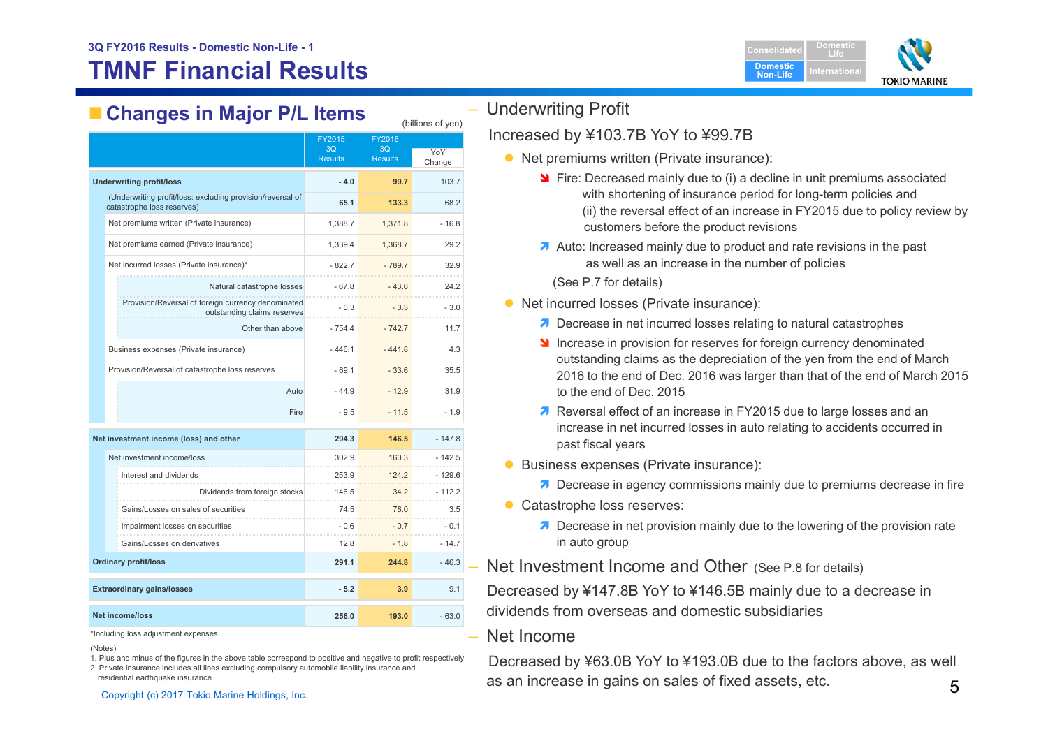# **TMNF Financial Results**



# **Changes in Major P/L Items** (billions of yen)

|                                                                                          |                  | FY2015<br>3Q<br><b>Results</b> | FY2016<br>3Q<br><b>Results</b> | YoY<br>Change |
|------------------------------------------------------------------------------------------|------------------|--------------------------------|--------------------------------|---------------|
| <b>Underwriting profit/loss</b>                                                          |                  | $-4.0$                         | 99.7                           | 103.7         |
| (Underwriting profit/loss: excluding provision/reversal of<br>catastrophe loss reserves) |                  | 65.1                           | 133.3                          | 68.2          |
| Net premiums written (Private insurance)                                                 |                  | 1,388.7                        | 1,371.8                        | $-16.8$       |
| Net premiums earned (Private insurance)                                                  |                  | 1,339.4                        | 1,368.7                        | 29.2          |
| Net incurred losses (Private insurance)*                                                 |                  | $-822.7$                       | $-789.7$                       | 32.9          |
| Natural catastrophe losses                                                               |                  | $-67.8$                        | $-43.6$                        | 24.2          |
| Provision/Reversal of foreign currency denominated<br>outstanding claims reserves        |                  | $-0.3$                         | $-3.3$                         | $-3.0$        |
|                                                                                          | Other than above | $-754.4$                       | $-742.7$                       | 11.7          |
| Business expenses (Private insurance)                                                    |                  | $-446.1$                       | $-441.8$                       | 4.3           |
| Provision/Reversal of catastrophe loss reserves                                          |                  | $-69.1$                        | $-33.6$                        | 35.5          |
|                                                                                          | Auto             | $-44.9$                        | $-12.9$                        | 31.9          |
|                                                                                          | Fire             | $-9.5$                         | $-11.5$                        | $-1.9$        |
| Net investment income (loss) and other                                                   |                  | 294.3                          | 146.5                          | $-147.8$      |
| Net investment income/loss                                                               |                  | 302.9                          | 160.3                          | $-142.5$      |
| Interest and dividends                                                                   |                  | 253.9                          | 124.2                          | $-129.6$      |
| Dividends from foreign stocks                                                            |                  | 146.5                          | 34.2                           | $-112.2$      |
| Gains/Losses on sales of securities                                                      |                  | 74.5                           | 78.0                           | 3.5           |
| Impairment losses on securities                                                          |                  | - 0.6                          | $-0.7$                         | $-0.1$        |
| Gains/Losses on derivatives                                                              |                  | 12.8                           | $-1.8$                         | $-14.7$       |
| <b>Ordinary profit/loss</b>                                                              |                  | 291.1                          | 244.8                          | $-46.3$       |
| <b>Extraordinary gains/losses</b>                                                        |                  | $-5.2$                         | 3.9                            | 9.1           |
| <b>Net income/loss</b>                                                                   |                  | 256.0                          | 193.0                          | $-63.0$       |

\*Including loss adjustment expenses

(Notes)

1. Plus and minus of the figures in the above table correspond to positive and negative to profit respectively 2. Private insurance includes all lines excluding compulsory automobile liability insurance and

residential earthquake insurance

– Underwriting Profit

### Increased by ¥103.7B YoY to ¥99.7B

- Net premiums written (Private insurance):
	- **S** Fire: Decreased mainly due to (i) a decline in unit premiums associated with shortening of insurance period for long-term policies and (ii) the reversal effect of an increase in FY2015 due to policy review by customers before the product revisions
	- Auto: Increased mainly due to product and rate revisions in the past as well as an increase in the number of policies

(See P.7 for details)

- Net incurred losses (Private insurance):
	- **7** Decrease in net incurred losses relating to natural catastrophes
	- Increase in provision for reserves for foreign currency denominated outstanding claims as the depreciation of the yen from the end of March 2016 to the end of Dec. 2016 was larger than that of the end of March 2015 to the end of Dec. 2015
	- **7** Reversal effect of an increase in FY2015 due to large losses and an increase in net incurred losses in auto relating to accidents occurred in past fiscal years
- **Business expenses (Private insurance):** 
	- **7** Decrease in agency commissions mainly due to premiums decrease in fire
- **Catastrophe loss reserves:** 
	- **7** Decrease in net provision mainly due to the lowering of the provision rate in auto group

– Net Investment Income and Other (See P.8 for details)

Decreased by ¥147.8B YoY to ¥146.5B mainly due to a decrease in dividends from overseas and domestic subsidiaries

Net Income

<sup>ssidential earthquake insurance</sup><br>Copyright (c) 2017 Tokio Marine Holdings, Inc. as an increase in gains on sales of fixed assets, etc. 5 Decreased by ¥63.0B YoY to ¥193.0B due to the factors above, as well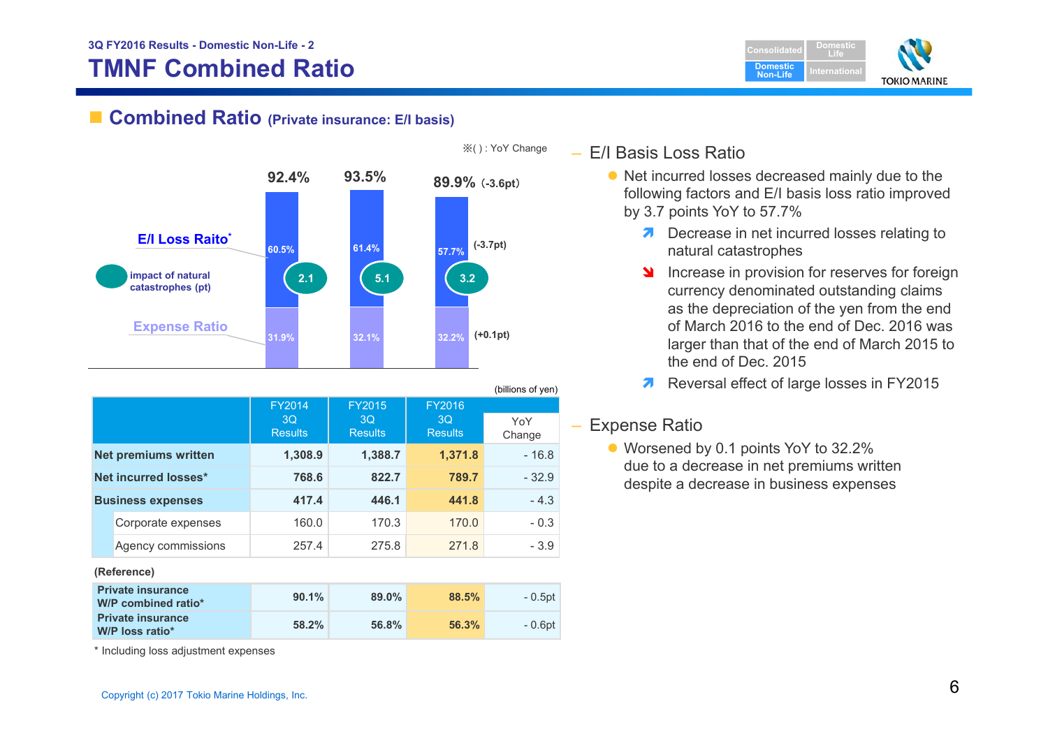# **TMNF Combined Ratio**



## ■ Combined Ratio (Private insurance: E/I basis)



|                          |                                |                                       |                                | (billions of yen) |
|--------------------------|--------------------------------|---------------------------------------|--------------------------------|-------------------|
|                          | FY2014<br>3Q<br><b>Results</b> | <b>FY2015</b><br>3Q<br><b>Results</b> | FY2016<br>3Q<br><b>Results</b> | YoY<br>Change     |
| Net premiums written     | 1,308.9                        | 1,388.7                               | 1,371.8                        | $-16.8$           |
| Net incurred losses*     | 768.6                          | 822.7                                 | 789.7                          | $-32.9$           |
| <b>Business expenses</b> | 417.4                          | 446.1                                 | 441.8                          | $-4.3$            |
| Corporate expenses       | 160.0                          | 170.3                                 | 170.0                          | $-0.3$            |
| Agency commissions       | 257.4                          | 275.8                                 | 271.8                          | $-3.9$            |
| (Reference)              |                                |                                       |                                |                   |

| <b>Private insurance</b><br>W/P combined ratio* | 90.1% | $89.0\%$ | 88.5% | - 0.5pt |
|-------------------------------------------------|-------|----------|-------|---------|
| <b>Private insurance</b><br>W/P loss ratio*     | 58.2% | 56.8%    | 56.3% | - 0.6pt |

– E/I Basis Loss Ratio

- Net incurred losses decreased mainly due to the following factors and E/I basis loss ratio improved by 3.7 points YoY to 57.7%
	- **7** Decrease in net incurred losses relating to natural catastrophes
	- **N**  Increase in provision for reserves for foreign currency denominated outstanding claims as the depreciation of the yen from the end of March 2016 to the end of Dec. 2016 was larger than that of the end of March 2015 to the end of Dec. 2015
	- 2 Reversal effect of large losses in FY2015

## – Expense Ratio

● Worsened by 0.1 points YoY to 32.2% due to a decrease in net premiums written despite a decrease in business expenses

\* Including loss adjustment expenses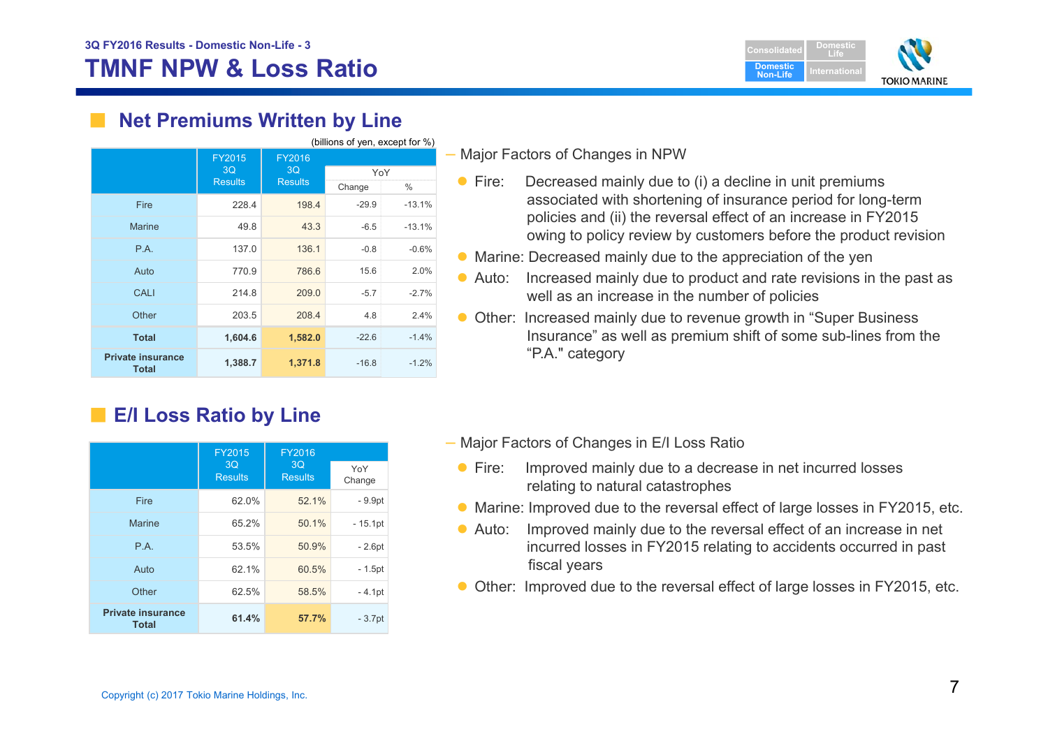# **TMNF NPW & Loss Ratio**



## **Net Premiums Written by Line**

| (billions of yen, except for %)          |                |                |         |          |
|------------------------------------------|----------------|----------------|---------|----------|
|                                          | FY2015         | FY2016         |         |          |
|                                          | 3Q             | 3 <sub>O</sub> | YoY     |          |
|                                          | <b>Results</b> | <b>Results</b> | Change  | $\%$     |
| <b>Fire</b>                              | 228.4          | 198.4          | $-29.9$ | $-13.1%$ |
| <b>Marine</b>                            | 49.8           | 43.3           | $-6.5$  | $-13.1%$ |
| P.A.                                     | 137.0          | 136.1          | $-0.8$  | $-0.6%$  |
| Auto                                     | 770.9          | 786.6          | 15.6    | 2.0%     |
| <b>CALI</b>                              | 214.8          | 209.0          | $-5.7$  | $-2.7%$  |
| Other                                    | 203.5          | 208.4          | 4.8     | 2.4%     |
| <b>Total</b>                             | 1,604.6        | 1,582.0        | $-22.6$ | $-1.4%$  |
| <b>Private insurance</b><br><b>Total</b> | 1,388.7        | 1,371.8        | $-16.8$ | $-1.2%$  |

# ■ **E/I Loss Ratio by Line**

|                                          | FY2015               | FY2016               |               |
|------------------------------------------|----------------------|----------------------|---------------|
|                                          | 3Q<br><b>Results</b> | 3Q<br><b>Results</b> | YoY<br>Change |
| Fire                                     | 62.0%                | 52.1%                | $-9.9pt$      |
| <b>Marine</b>                            | 65.2%                | 50.1%                | $-15.1pt$     |
| P.A.                                     | 53.5%                | 50.9%                | $-2.6pt$      |
| Auto                                     | 62.1%                | 60.5%                | $-1.5pt$      |
| Other                                    | 62.5%                | 58.5%                | $-4.1pt$      |
| <b>Private insurance</b><br><b>Total</b> | 61.4%                | 57.7%                | $-3.7pt$      |

### – Major Factors of Changes in NPW

- $\bullet$  Fire: Decreased mainly due to (i) a decline in unit premiums associated with shortening of insurance period for long-term policies and (ii) the reversal effect of an increase in FY2015 owing to policy review by customers before the product revision
- Marine: Decreased mainly due to the appreciation of the yen
- Auto: Increased mainly due to product and rate revisions in the past as well as an increase in the number of policies
- Other: Increased mainly due to revenue growth in "Super Business Insurance" as well as premium shift of some sub-lines from the "P.A." category
- Major Factors of Changes in E/I Loss Ratio
	- $\bullet$  Fire: Improved mainly due to a decrease in net incurred losses relating to natural catastrophes
- Marine: Improved due to the reversal effect of large losses in FY2015, etc.
- $\bullet$  Auto: Improved mainly due to the reversal effect of an increase in net incurred losses in FY2015 relating to accidents occurred in past fiscal years
- Other: Improved due to the reversal effect of large losses in FY2015, etc.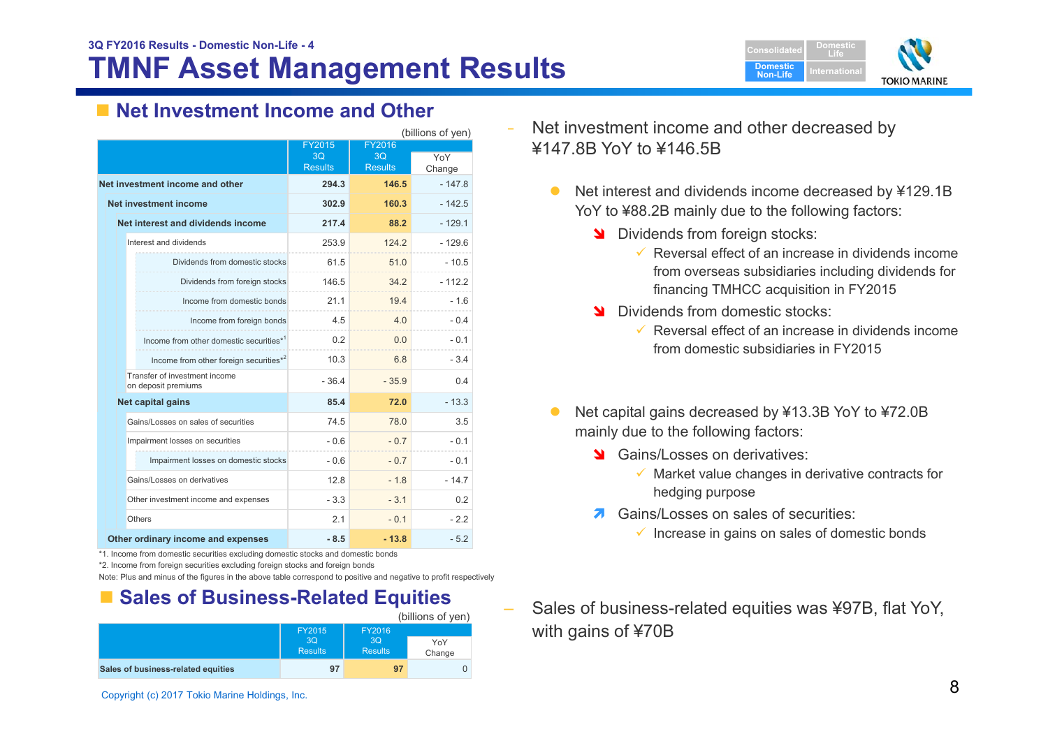# **TMNF Asset Management Results**



## ■ Net Investment Income and Other

| (billions of yen)                                    |                |                |          |
|------------------------------------------------------|----------------|----------------|----------|
|                                                      | <b>FY2015</b>  | <b>FY2016</b>  |          |
|                                                      | 3 <sub>O</sub> | 3 <sub>O</sub> | YoY      |
|                                                      | <b>Results</b> | <b>Results</b> | Change   |
| Net investment income and other                      | 294.3          | 146.5          | $-147.8$ |
| Net investment income                                | 302.9          | 160.3          | $-142.5$ |
| Net interest and dividends income                    | 217.4          | 88.2           | $-129.1$ |
| Interest and dividends                               | 253.9          | 124.2          | $-129.6$ |
| Dividends from domestic stocks                       | 61.5           | 51.0           | - 10.5   |
| Dividends from foreign stocks                        | 146.5          | 34.2           | $-112.2$ |
| Income from domestic bonds                           | 21.1           | 19.4           | $-1.6$   |
| Income from foreign bonds                            | 4.5            | 4.0            | $-0.4$   |
| Income from other domestic securities*1              | 0.2            | 0.0            | $-0.1$   |
| Income from other foreign securities*2               | 10.3           | 6.8            | $-3.4$   |
| Transfer of investment income<br>on deposit premiums | $-36.4$        | $-35.9$        | 04       |
| Net capital gains                                    | 85.4           | 72.0           | $-13.3$  |
| Gains/Losses on sales of securities                  | 74.5           | 78.0           | 3.5      |
| Impairment losses on securities                      | $-0.6$         | $-0.7$         | $-0.1$   |
| Impairment losses on domestic stocks                 | $-0.6$         | $-07$          | $-0.1$   |
| Gains/Losses on derivatives                          | 12.8           | $-18$          | $-147$   |
| Other investment income and expenses                 | $-3.3$         | $-3.1$         | 0.2      |
| Others                                               | 21             | $-0.1$         | -22      |
| Other ordinary income and expenses                   | $-8.5$         | $-13.8$        | $-5.2$   |

\*1. Income from domestic securities excluding domestic stocks and domestic bonds

Note: Plus and minus of the figures in the above table correspond to positive and negative to profit respectively

## ■ Sales of Business-Related Equities

|                                    |                      |                      | (billions of yen) |
|------------------------------------|----------------------|----------------------|-------------------|
|                                    | FY2015<br>FY2016     |                      |                   |
|                                    | 3Q<br><b>Results</b> | 3Q<br><b>Results</b> | YoY<br>Change     |
| Sales of business-related equities | 97                   | 97                   |                   |

- Net investment income and other decreased by ¥147.8B YoY to ¥146.5B
	- $\bullet$  Net interest and dividends income decreased by ¥129.1B YoY to ¥88.2B mainly due to the following factors:
		- **N** Dividends from foreign stocks:
			- $\checkmark$  Reversal effect of an increase in dividends income from overseas subsidiaries including dividends for financing TMHCC acquisition in FY2015
		- Dividends from domestic stocks:
			- $\checkmark$  Reversal effect of an increase in dividends income from domestic subsidiaries in FY2015
	- $\bullet$  Net capital gains decreased by ¥13.3B YoY to ¥72.0B mainly due to the following factors:
		- Stains/Losses on derivatives:
			- $\checkmark$  Market value changes in derivative contracts for hedging purpose
		- 7 Gains/Losses on sales of securities:
			- $\checkmark$  Increase in gains on sales of domestic bonds
- Sales of business-related equities was ¥97B, flat YoY, with gains of ¥70B

<sup>\*2.</sup> Income from foreign securities excluding foreign stocks and foreign bonds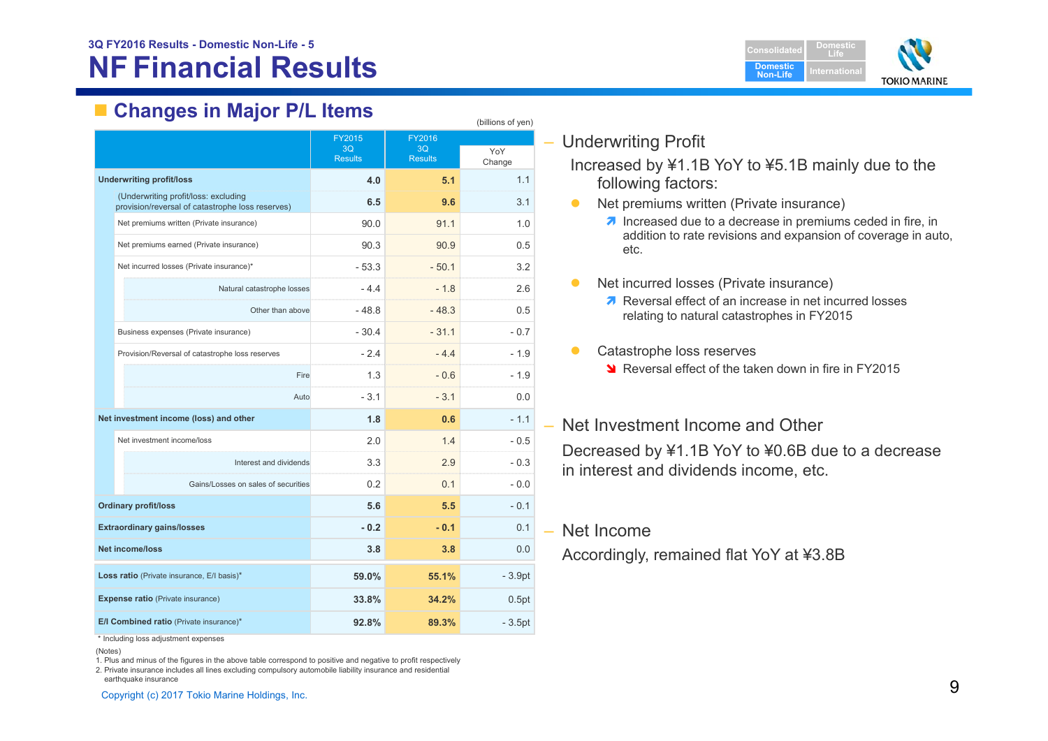# **NF Financial Results**



# **Changes in Major P/L Items**

| $\cdots$<br>(billions of yen)                                                            |                                                 |                                |                                |                |  |  |
|------------------------------------------------------------------------------------------|-------------------------------------------------|--------------------------------|--------------------------------|----------------|--|--|
|                                                                                          |                                                 | FY2015<br>3O<br><b>Results</b> | FY2016<br>3Q<br><b>Results</b> | YoY<br>Change  |  |  |
| <b>Underwriting profit/loss</b>                                                          |                                                 | 4.0                            | 5.1                            | 1.1            |  |  |
| (Underwriting profit/loss: excluding<br>provision/reversal of catastrophe loss reserves) |                                                 | 6.5                            | 9.6                            | 3.1            |  |  |
|                                                                                          | Net premiums written (Private insurance)        | 90.0                           | 91.1                           | 1.0            |  |  |
|                                                                                          | Net premiums earned (Private insurance)         | 90.3                           | 90.9                           | 0.5            |  |  |
|                                                                                          | Net incurred losses (Private insurance)*        | $-53.3$                        | $-50.1$                        | 3.2            |  |  |
|                                                                                          | Natural catastrophe losses                      | $-4.4$                         | $-1.8$                         | 2.6            |  |  |
|                                                                                          | Other than above                                | $-48.8$                        | $-48.3$                        | 0.5            |  |  |
|                                                                                          | Business expenses (Private insurance)           | $-30.4$                        | $-31.1$                        | $-0.7$         |  |  |
|                                                                                          | Provision/Reversal of catastrophe loss reserves | $-2.4$                         | $-4.4$                         | $-1.9$         |  |  |
|                                                                                          | Fire                                            | 1.3                            | $-0.6$                         | $-1.9$         |  |  |
|                                                                                          | Auto                                            | $-3.1$                         | $-3.1$                         | 0.0            |  |  |
|                                                                                          | Net investment income (loss) and other          | 1.8                            | 0.6                            | $-1.1$         |  |  |
|                                                                                          | Net investment income/loss                      | 2.0                            | 1.4                            | $-0.5$         |  |  |
|                                                                                          | Interest and dividends                          | 3.3                            | 2.9                            | $-0.3$         |  |  |
|                                                                                          | Gains/Losses on sales of securities             | 0.2                            | 0.1                            | $-0.0$         |  |  |
| <b>Ordinary profit/loss</b>                                                              |                                                 | 5.6                            | 5.5                            | $-0.1$         |  |  |
| <b>Extraordinary gains/losses</b>                                                        |                                                 | $-0.2$                         | $-0.1$                         | 0 <sub>1</sub> |  |  |
| <b>Net income/loss</b>                                                                   |                                                 | 3.8                            | 3.8                            | 0.0            |  |  |
| Loss ratio (Private insurance, E/I basis)*                                               |                                                 | 59.0%                          | 55.1%                          | $-3.9pt$       |  |  |
| <b>Expense ratio (Private insurance)</b>                                                 |                                                 | 33.8%                          | 34.2%                          | 0.5pt          |  |  |
|                                                                                          | E/I Combined ratio (Private insurance)*         | 92.8%                          | 89.3%                          | $-3.5pt$       |  |  |

– Underwriting Profit

Increased by ¥1.1B YoY to ¥5.1B mainly due to the following factors:

- $\bullet$  Net premiums written (Private insurance)
	- $\lambda$  Increased due to a decrease in premiums ceded in fire, in addition to rate revisions and expansion of coverage in auto, etc.
- $\bullet$  Net incurred losses (Private insurance)
	- Reversal effect of an increase in net incurred losses relating to natural catastrophes in FY2015
- $\bullet$  Catastrophe loss reserves
	- S Reversal effect of the taken down in fire in FY2015

## – Net Investment Income and Other Decreased by ¥1.1B YoY to ¥0.6B due to a decrease in interest and dividends income, etc.

### – Net Income

Accordingly, remained flat YoY at ¥3.8B

\* Including loss adjustment expenses

1. Plus and minus of the figures in the above table correspond to positive and negative to profit respectively

2. Private insurance includes all lines excluding compulsory automobile liability insurance and residential

earthquake insurance

<sup>(</sup>Notes)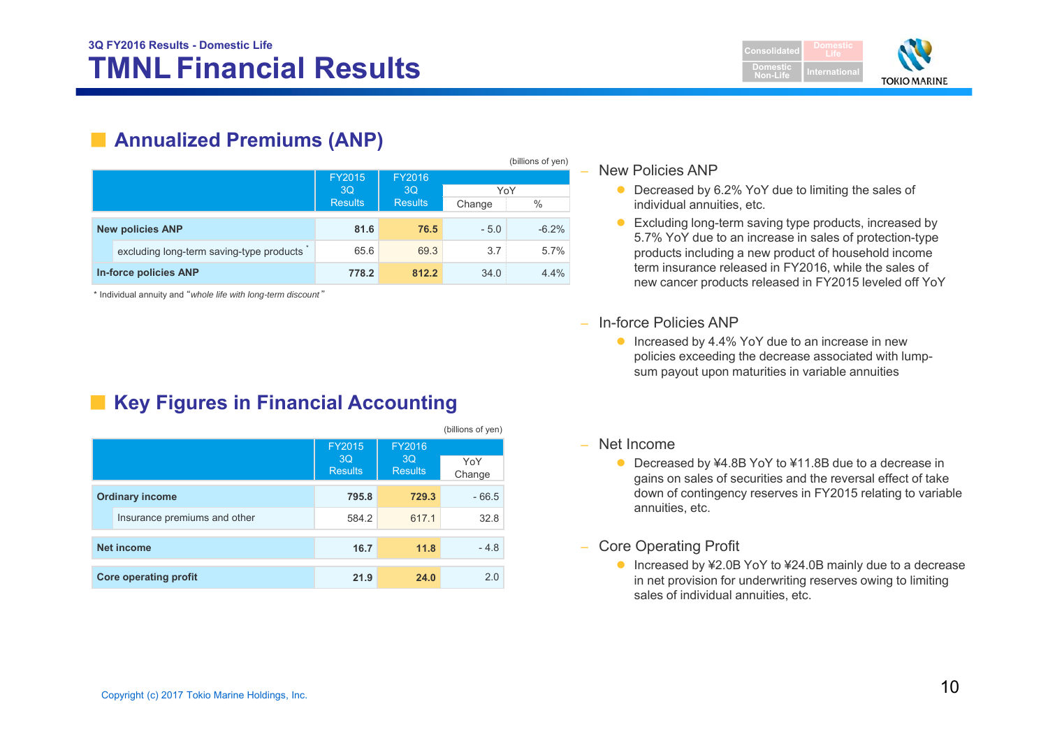

# ■ **Annualized Premiums (ANP)**

|                         |                                          |                |                |        | (billions of yen) |
|-------------------------|------------------------------------------|----------------|----------------|--------|-------------------|
|                         |                                          | <b>FY2015</b>  | FY2016         |        |                   |
|                         |                                          | 3Q             | 3Q             | YoY    |                   |
|                         |                                          | <b>Results</b> | <b>Results</b> | Change | $\%$              |
| <b>New policies ANP</b> |                                          | 81.6           | 76.5           | $-5.0$ | $-6.2%$           |
|                         | excluding long-term saving-type products | 65.6           | 69.3           | 3.7    | 5.7%              |
| In-force policies ANP   |                                          | 778.2          | 812.2          | 34.0   | 4.4%              |

\* Individual annuity and "*whole life with long-term discount* "

# ■ Key Figures in Financial Accounting

|                              |                              |                                       |                                | (DIIIIOITS OF AGLI) |
|------------------------------|------------------------------|---------------------------------------|--------------------------------|---------------------|
|                              |                              | <b>FY2015</b><br>3Q<br><b>Results</b> | FY2016<br>3Q<br><b>Results</b> | YoY<br>Change       |
| <b>Ordinary income</b>       |                              | 795.8                                 | 729.3                          | $-66.5$             |
|                              | Insurance premiums and other | 584.2                                 | 617.1                          | 32.8                |
| <b>Net income</b>            |                              | 16.7                                  | 11.8                           | $-4.8$              |
| <b>Core operating profit</b> |                              | 21.9                                  | 24.0                           | 2.0                 |

### – New Policies ANP

- Decreased by 6.2% YoY due to limiting the sales of individual annuities, etc.
- Excluding long-term saving type products, increased by 5.7% YoY due to an increase in sales of protection-type products including a new product of household income term insurance released in FY2016, while the sales of new cancer products released in FY2015 leveled off YoY
- In-force Policies ANP
	- Increased by 4.4% YoY due to an increase in new policies exceeding the decrease associated with lumpsum payout upon maturities in variable annuities
- Net Income

 $(b)$ illions of  $y$ 

- Decreased by ¥4.8B YoY to ¥11.8B due to a decrease in gains on sales of securities and the reversal effect of take down of contingency reserves in FY2015 relating to variable annuities, etc.
- – Core Operating Profit
	- Increased by ¥2.0B YoY to ¥24.0B mainly due to a decrease in net provision for underwriting reserves owing to limiting sales of individual annuities, etc.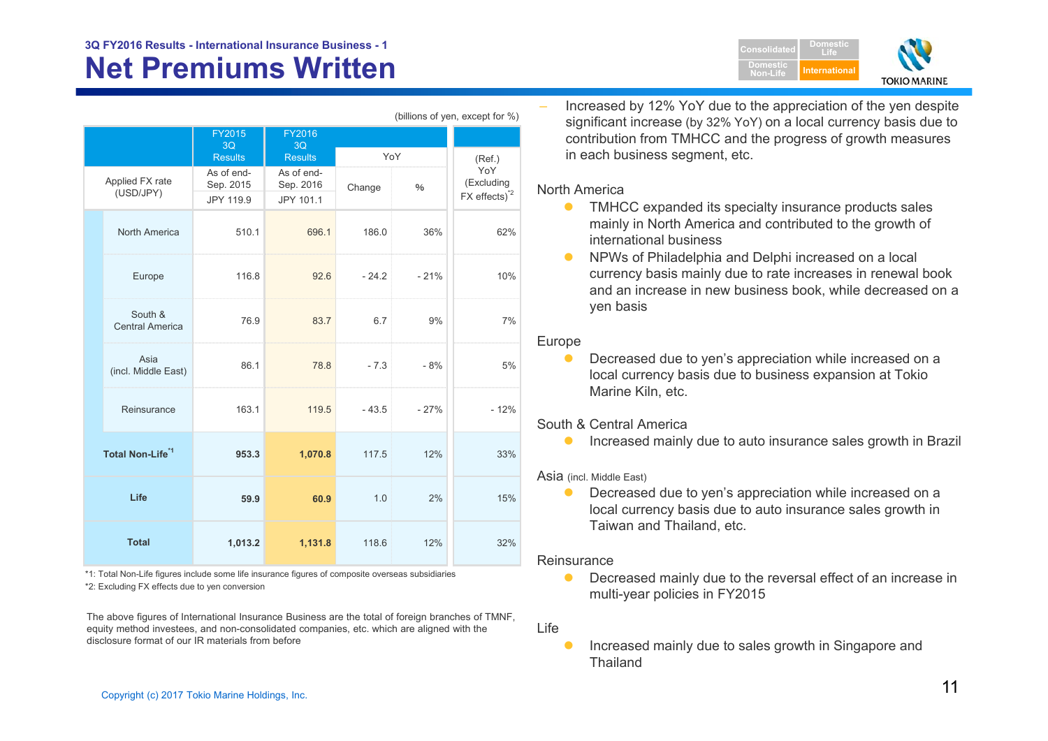|                              |                                   | <b>FY2015</b><br>3Q                  | <b>FY2016</b><br>3Q                  |         |        |                                               |  |
|------------------------------|-----------------------------------|--------------------------------------|--------------------------------------|---------|--------|-----------------------------------------------|--|
|                              |                                   | <b>Results</b>                       | <b>Results</b>                       | YoY     |        | (Ref.)                                        |  |
| Applied FX rate<br>(USD/JPY) |                                   | As of end-<br>Sep. 2015<br>JPY 119.9 | As of end-<br>Sep. 2016<br>JPY 101.1 | Change  | $\%$   | YoY<br>(Excluding<br>FX effects) <sup>2</sup> |  |
|                              | North America                     | 510.1                                | 696.1                                | 186.0   | 36%    | 62%                                           |  |
|                              | Europe                            | 116.8                                | 92.6                                 | $-24.2$ | $-21%$ | 10%                                           |  |
|                              | South &<br><b>Central America</b> | 76.9                                 | 83.7                                 | 6.7     | 9%     | 7%                                            |  |
|                              | Asia<br>(incl. Middle East)       | 86.1                                 | 78.8                                 | $-7.3$  | $-8%$  | 5%                                            |  |
|                              | Reinsurance                       | 163.1                                | 119.5                                | $-43.5$ | $-27%$ | $-12%$                                        |  |
| Total Non-Life <sup>*1</sup> |                                   | 953.3                                | 1,070.8                              | 117.5   | 12%    | 33%                                           |  |
| Life                         |                                   | 59.9                                 | 60.9                                 | 1.0     | 2%     | 15%                                           |  |
| <b>Total</b>                 |                                   | 1,013.2                              | 1,131.8                              | 118.6   | 12%    | 32%                                           |  |

\*2: Excluding FX effects due to yen conversion \*1: Total Non-Life figures include some life insurance figures of composite overseas subsidiaries

The above figures of International Insurance Business are the total of foreign branches of TMNF, equity method investees, and non-consolidated companies, etc. which are aligned with the disclosure format of our IR materials from before

 Increased by 12% YoY due to the appreciation of the yen despite significant increase (by 32% YoY) on a local currency basis due to contribution from TMHCC and the progress of growth measures in each business segment, etc.

#### North America

(billions of yen, except for %)

- $\bullet$  TMHCC expanded its specialty insurance products sales mainly in North America and contributed to the growth of international business
- $\bullet$  NPWs of Philadelphia and Delphi increased on a local currency basis mainly due to rate increases in renewal book and an increase in new business book, while decreased on a yen basis

### Europe

 $\bullet$  Decreased due to yen's appreciation while increased on a local currency basis due to business expansion at Tokio Marine Kiln, etc.

#### South & Central America

 $\bullet$ Increased mainly due to auto insurance sales growth in Brazil

#### Asia (incl. Middle East)

 $\bullet$  Decreased due to yen's appreciation while increased on a local currency basis due to auto insurance sales growth in Taiwan and Thailand, etc.

#### **Reinsurance**

 $\bullet$  Decreased mainly due to the reversal effect of an increase in multi-year policies in FY2015

#### Life

 $\bullet$  Increased mainly due to sales growth in Singapore and **Thailand** 

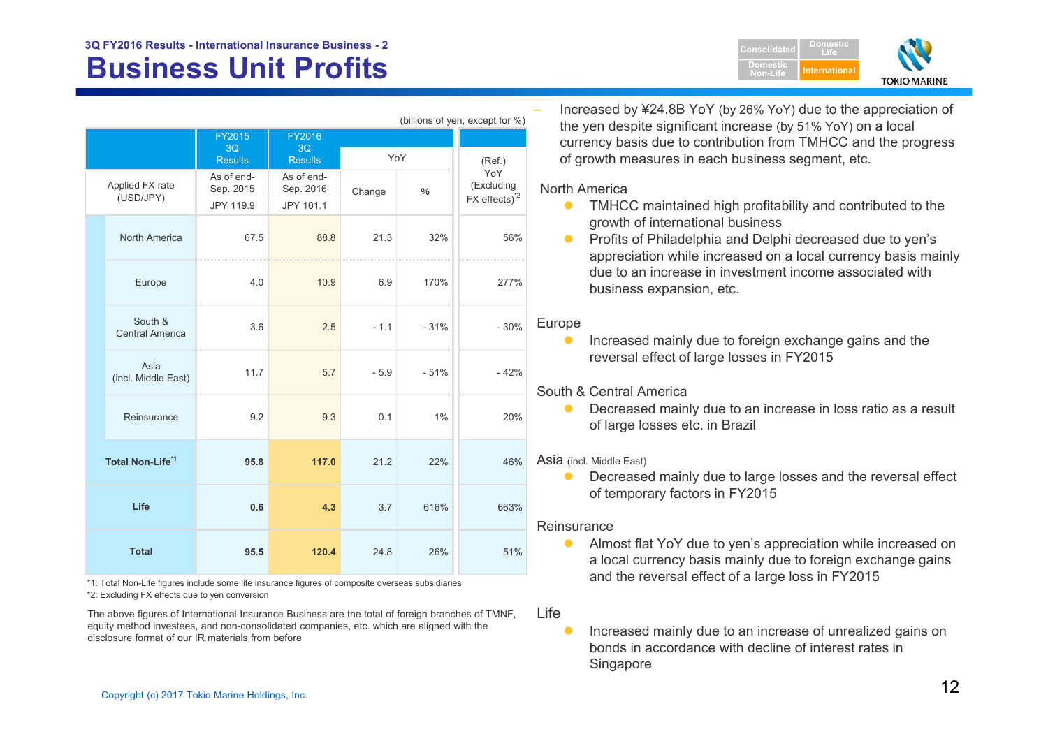# **Business Unit Profits Alternational Second Profits Alternational Profits International**



| (billions of yen, except for %)    |                                   |                                              |                         |        |               |                          |
|------------------------------------|-----------------------------------|----------------------------------------------|-------------------------|--------|---------------|--------------------------|
|                                    |                                   | FY2015                                       | FY2016                  |        |               |                          |
|                                    |                                   | 3Q<br>3Q<br><b>Results</b><br><b>Results</b> |                         | YoY    | (Ref.)        |                          |
| Applied FX rate<br>(USD/JPY)       |                                   | As of end-<br>Sep. 2015                      | As of end-<br>Sep. 2016 | Change | $\frac{0}{6}$ | YoY<br>(Excluding        |
|                                    |                                   | JPY 119.9                                    | JPY 101.1               |        |               | FX effects) <sup>2</sup> |
|                                    | North America                     | 67.5                                         | 88.8                    | 21.3   | 32%           | 56%                      |
|                                    | Europe                            | 4.0                                          | 10.9                    | 6.9    | 170%          | 277%                     |
|                                    | South &<br><b>Central America</b> | 3.6                                          | 2.5                     | $-1.1$ | $-31%$        | $-30%$                   |
|                                    | Asia<br>(incl. Middle East)       | 11.7                                         | 5.7                     | $-5.9$ | $-51%$        | $-42%$                   |
|                                    | Reinsurance                       | 9.2                                          | 9.3                     | 0.1    | $1\%$         | 20%                      |
| <b>Total Non-Life<sup>*1</sup></b> |                                   | 95.8                                         | 117.0                   | 21.2   | 22%           | 46%                      |
| Life<br><b>Total</b>               |                                   | 0.6                                          | 4.3                     | 3.7    | 616%          | 663%                     |
|                                    |                                   | 95.5                                         | 120.4                   | 24.8   | 26%           | 51%                      |

\*2: Excluding FX effects due to yen conversion \*1: Total Non-Life figures include some life insurance figures of composite overseas subsidiaries

The above figures of International Insurance Business are the total of foreign branches of TMNF, equity method investees, and non-consolidated companies, etc. which are aligned with the disclosure format of our IR materials from before

 Increased by ¥24.8B YoY (by 26% YoY) due to the appreciation of the yen despite significant increase (by 51% YoY) on a local currency basis due to contribution from TMHCC and the progress of growth measures in each business segment, etc.

### North America

- $\bullet$  TMHCC maintained high profitability and contributed to the growth of international business
- $\bullet$  Profits of Philadelphia and Delphi decreased due to yen's appreciation while increased on a local currency basis mainly due to an increase in investment income associated with business expansion, etc.

### Europe

 $\bullet$  Increased mainly due to foreign exchange gains and the reversal effect of large losses in FY2015

### South & Central America

 $\bullet$  Decreased mainly due to an increase in loss ratio as a result of large losses etc. in Brazil

### Asia (incl. Middle East)

 $\bullet$  Decreased mainly due to large losses and the reversal effect of temporary factors in FY2015

### **Reinsurance**

- $\bullet$  Almost flat YoY due to yen's appreciation while increased on a local currency basis mainly due to foreign exchange gains and the reversal effect of a large loss in FY2015
- Life
	- $\bullet$  Increased mainly due to an increase of unrealized gains on bonds in accordance with decline of interest rates in Singapore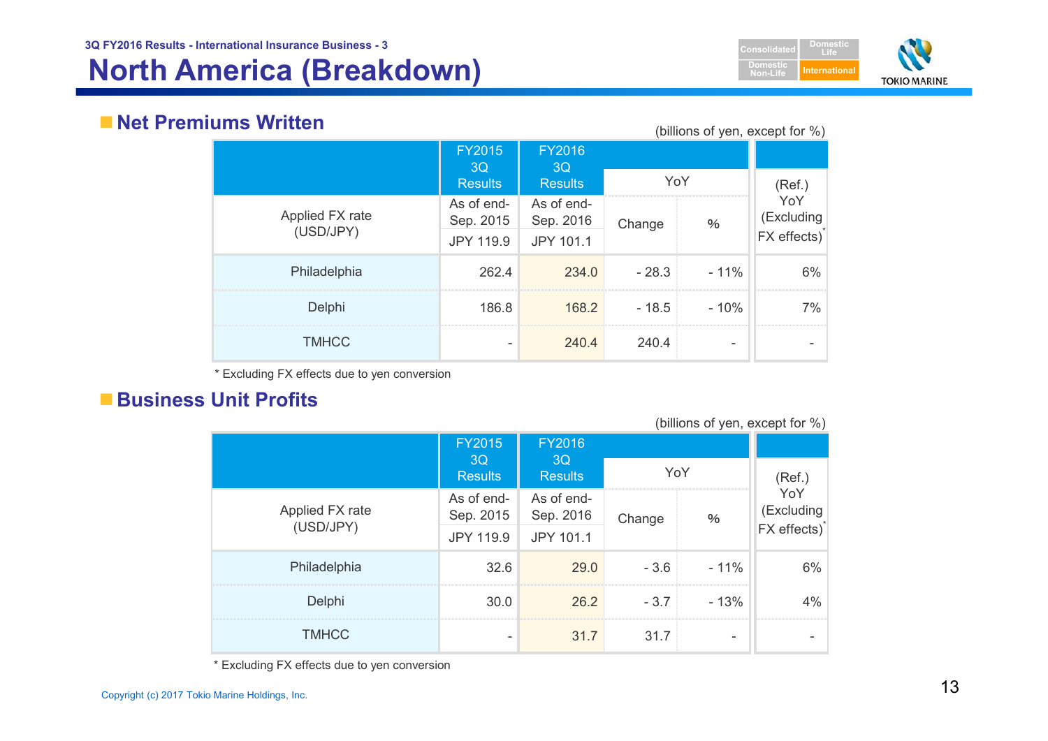# **North America (Breakdown) International**



## **Net Premiums Written**

(billions of yen, except for %)

|                 | <b>FY2015</b><br>3Q     | <b>FY2016</b><br>3Q     | ,       |        |                                                         |
|-----------------|-------------------------|-------------------------|---------|--------|---------------------------------------------------------|
|                 | <b>Results</b>          | <b>Results</b>          | YoY     |        | (Ref.)<br>YoY<br>(Excluding<br>FX effects) <sup>*</sup> |
| Applied FX rate | As of end-<br>Sep. 2015 | As of end-<br>Sep. 2016 | Change  | $\%$   |                                                         |
| (USD/JPY)       | JPY 119.9               | JPY 101.1               |         |        |                                                         |
| Philadelphia    | 262.4                   | 234.0                   | $-28.3$ | $-11%$ | 6%                                                      |
| Delphi          | 186.8                   | 168.2                   | $-18.5$ | $-10%$ | 7%                                                      |
| <b>TMHCC</b>    |                         | 240.4                   | 240.4   | -      |                                                         |

\* Excluding FX effects due to yen conversion

# **Business Unit Profits**

| (DIIIIUITS UL VEIT, EXUEPLIUI 70) |                         |                         |                |                          |                                               |  |
|-----------------------------------|-------------------------|-------------------------|----------------|--------------------------|-----------------------------------------------|--|
|                                   | <b>FY2015</b>           | <b>FY2016</b>           | YoY            |                          |                                               |  |
|                                   | 3Q<br><b>Results</b>    | 3Q<br><b>Results</b>    |                |                          | (Ref.)                                        |  |
| Applied FX rate                   | As of end-<br>Sep. 2015 | As of end-<br>Sep. 2016 | Change<br>$\%$ |                          | YoY<br>(Excluding<br>FX effects) <sup>*</sup> |  |
| (USD/JPY)                         | <b>JPY 119.9</b>        | JPY 101.1               |                |                          |                                               |  |
| Philadelphia                      | 32.6                    | 29.0                    | $-3.6$         | $-11%$                   | 6%                                            |  |
| Delphi                            | 30.0                    | 26.2                    | $-3.7$         | $-13%$                   | $4\%$                                         |  |
| <b>TMHCC</b>                      |                         | 31.7                    | 31.7           | $\overline{\phantom{0}}$ |                                               |  |

 $(billione of von  $even (b.l)$ )$ 

\* Excluding FX effects due to yen conversion